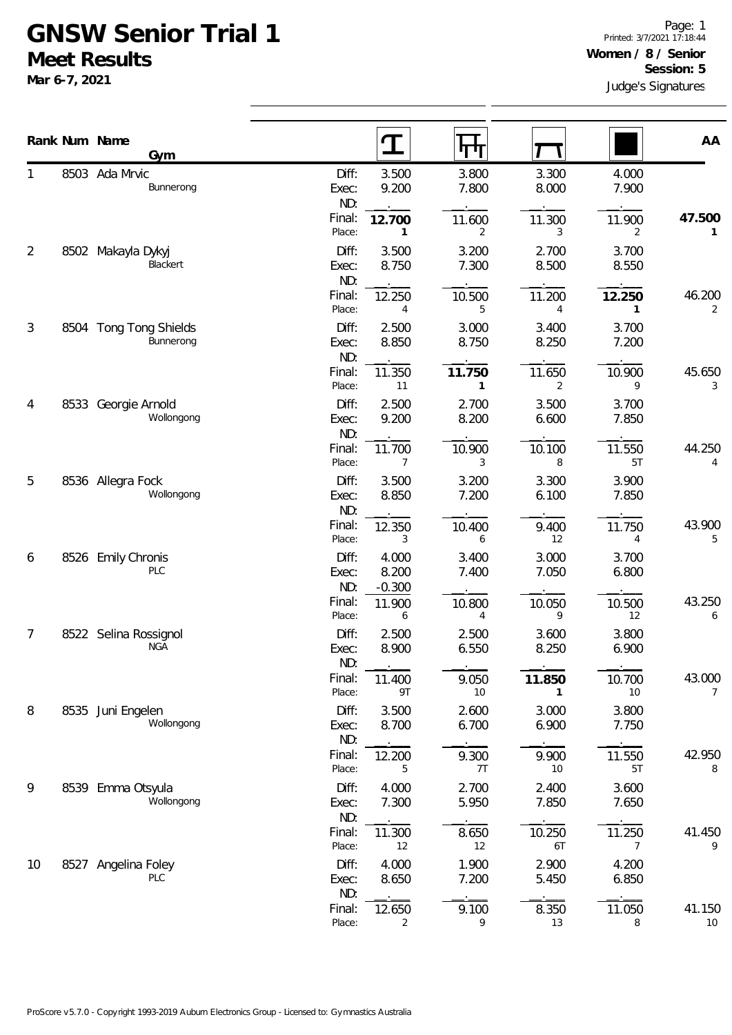## **GNSW Senior Trial 1 Meet Results**

**Mar 6-7, 2021**

|    |  | Rank Num Name<br>Gym                |                       | $\mathbf T$                | पाप                      |                |                          | AA           |  |
|----|--|-------------------------------------|-----------------------|----------------------------|--------------------------|----------------|--------------------------|--------------|--|
| 1  |  | 8503 Ada Mrvic<br>Bunnerong         | Diff:<br>Exec:<br>ND: | 3.500<br>9.200             | 3.800<br>7.800           | 3.300<br>8.000 | 4.000<br>7.900           |              |  |
|    |  |                                     | Final:<br>Place:      | 12.700<br>$\mathbf{1}$     | 11.600<br>$\overline{2}$ | 11.300<br>3    | 11.900<br>2              | 47.500<br>1  |  |
| 2  |  | 8502 Makayla Dykyj<br>Blackert      | Diff:<br>Exec:<br>ND: | 3.500<br>8.750             | 3.200<br>7.300           | 2.700<br>8.500 | 3.700<br>8.550           |              |  |
|    |  |                                     | Final:<br>Place:      | 12.250<br>4                | 10.500<br>5              | 11.200<br>4    | 12.250<br>1              | 46.200<br>2  |  |
| 3  |  | 8504 Tong Tong Shields<br>Bunnerong | Diff:<br>Exec:<br>ND: | 2.500<br>8.850             | 3.000<br>8.750           | 3.400<br>8.250 | 3.700<br>7.200           |              |  |
|    |  |                                     | Final:<br>Place:      | 11.350<br>11               | 11.750<br>$\mathbf{1}$   | 11.650<br>2    | 10.900<br>9              | 45.650<br>3  |  |
| 4  |  | 8533 Georgie Arnold<br>Wollongong   | Diff:<br>Exec:<br>ND: | 2.500<br>9.200             | 2.700<br>8.200           | 3.500<br>6.600 | 3.700<br>7.850           |              |  |
|    |  |                                     | Final:<br>Place:      | 11.700<br>7                | 10.900<br>3              | 10.100<br>8    | 11.550<br>5T             | 44.250<br>4  |  |
| 5  |  | 8536 Allegra Fock<br>Wollongong     | Diff:<br>Exec:<br>ND: | 3.500<br>8.850             | 3.200<br>7.200           | 3.300<br>6.100 | 3.900<br>7.850           |              |  |
|    |  |                                     | Final:<br>Place:      | 12.350<br>3                | 10.400<br>6              | 9.400<br>12    | 11.750<br>4              | 43.900<br>5  |  |
| 6  |  | 8526 Emily Chronis<br>PLC           | Diff:<br>Exec:<br>ND: | 4.000<br>8.200<br>$-0.300$ | 3.400<br>7.400           | 3.000<br>7.050 | 3.700<br>6.800           |              |  |
|    |  |                                     | Final:<br>Place:      | 11.900<br>6                | 10.800<br>4              | 10.050<br>9    | 10.500<br>12             | 43.250<br>6  |  |
| 7  |  | 8522 Selina Rossignol<br><b>NGA</b> | Diff:<br>Exec:<br>ND: | 2.500<br>8.900             | 2.500<br>6.550           | 3.600<br>8.250 | 3.800<br>6.900           |              |  |
|    |  |                                     | Final:<br>Place:      | 11.400<br>9T               | 9.050<br>10 <sup>°</sup> | 11.850<br>1    | 10.700<br>10             | 43.000<br>7  |  |
| 8  |  | 8535 Juni Engelen<br>Wollongong     | Diff:<br>Exec:<br>ND: | 3.500<br>8.700             | 2.600<br>6.700           | 3.000<br>6.900 | 3.800<br>7.750           |              |  |
|    |  |                                     | Final:<br>Place:      | 12.200<br>5                | 9.300<br>7T              | 9.900<br>10    | 11.550<br>5T             | 42.950<br>8  |  |
| 9  |  | 8539 Emma Otsyula<br>Wollongong     | Diff:<br>Exec:<br>ND: | 4.000<br>7.300             | 2.700<br>5.950           | 2.400<br>7.850 | 3.600<br>7.650           |              |  |
|    |  |                                     | Final:<br>Place:      | 11.300<br>12               | 8.650<br>12              | 10.250<br>6T   | 11.250<br>$\overline{7}$ | 41.450<br>9  |  |
| 10 |  | 8527 Angelina Foley<br>PLC          | Diff:<br>Exec:<br>ND: | 4.000<br>8.650             | 1.900<br>7.200           | 2.900<br>5.450 | 4.200<br>6.850           |              |  |
|    |  |                                     | Final:<br>Place:      | 12.650<br>2                | 9.100<br>9               | 8.350<br>13    | 11.050<br>8              | 41.150<br>10 |  |